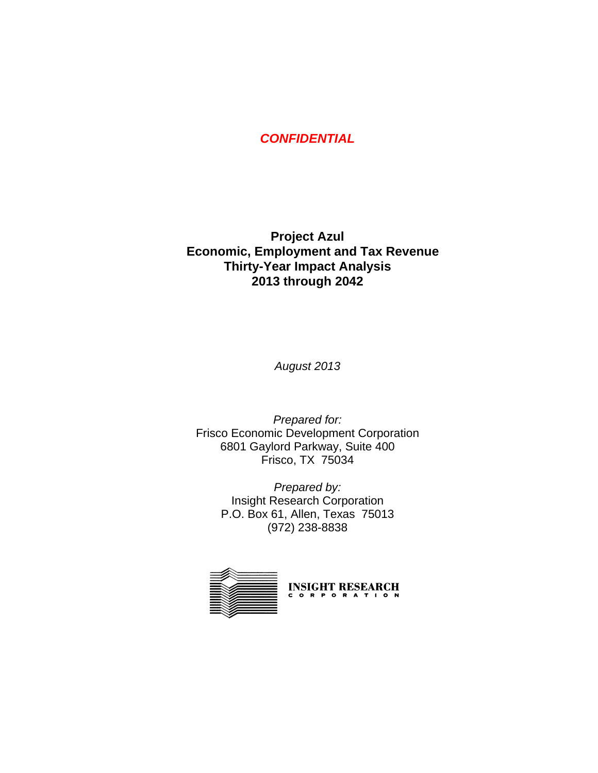## *CONFIDENTIAL*

## **Project Azul Economic, Employment and Tax Revenue Thirty-Year Impact Analysis 2013 through 2042**

*August 2013* 

*Prepared for:*  Frisco Economic Development Corporation 6801 Gaylord Parkway, Suite 400 Frisco, TX 75034

> *Prepared by:*  Insight Research Corporation P.O. Box 61, Allen, Texas 75013 (972) 238-8838

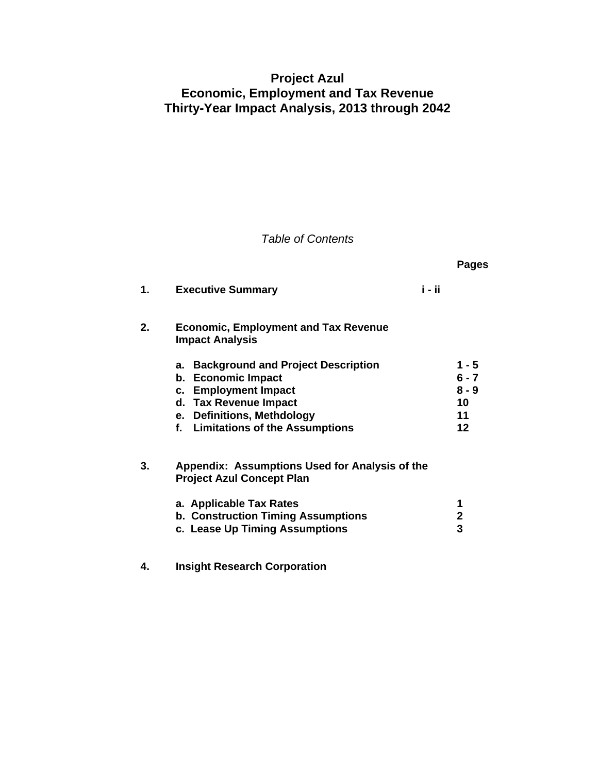## **Project Azul Economic, Employment and Tax Revenue Thirty-Year Impact Analysis, 2013 through 2042**

## *Table of Contents*

|    |                                                                                                                                                                                                               |        | Pages                                         |
|----|---------------------------------------------------------------------------------------------------------------------------------------------------------------------------------------------------------------|--------|-----------------------------------------------|
| 1. | <b>Executive Summary</b>                                                                                                                                                                                      | i - ii |                                               |
| 2. | <b>Economic, Employment and Tax Revenue</b><br><b>Impact Analysis</b>                                                                                                                                         |        |                                               |
|    | <b>Background and Project Description</b><br>a.<br><b>Economic Impact</b><br>b.<br>c. Employment Impact<br>d. Tax Revenue Impact<br>e. Definitions, Methdology<br><b>Limitations of the Assumptions</b><br>f. |        | 1 - 5<br>$6 - 7$<br>$8 - 9$<br>10<br>11<br>12 |
| 3. | Appendix: Assumptions Used for Analysis of the<br><b>Project Azul Concept Plan</b>                                                                                                                            |        |                                               |
|    | a. Applicable Tax Rates<br><b>b. Construction Timing Assumptions</b><br>c. Lease Up Timing Assumptions                                                                                                        |        | 1<br>$\mathbf{2}$<br>3                        |

**4. Insight Research Corporation**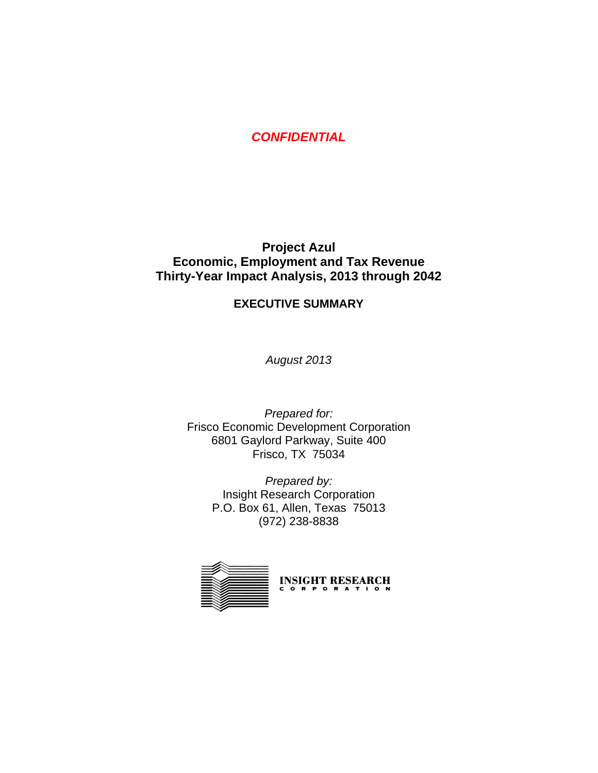*CONFIDENTIAL*

## **Project Azul Economic, Employment and Tax Revenue Thirty-Year Impact Analysis, 2013 through 2042**

#### **EXECUTIVE SUMMARY**

*August 2013* 

*Prepared for:*  Frisco Economic Development Corporation 6801 Gaylord Parkway, Suite 400 Frisco, TX 75034

> *Prepared by:*  Insight Research Corporation P.O. Box 61, Allen, Texas 75013 (972) 238-8838

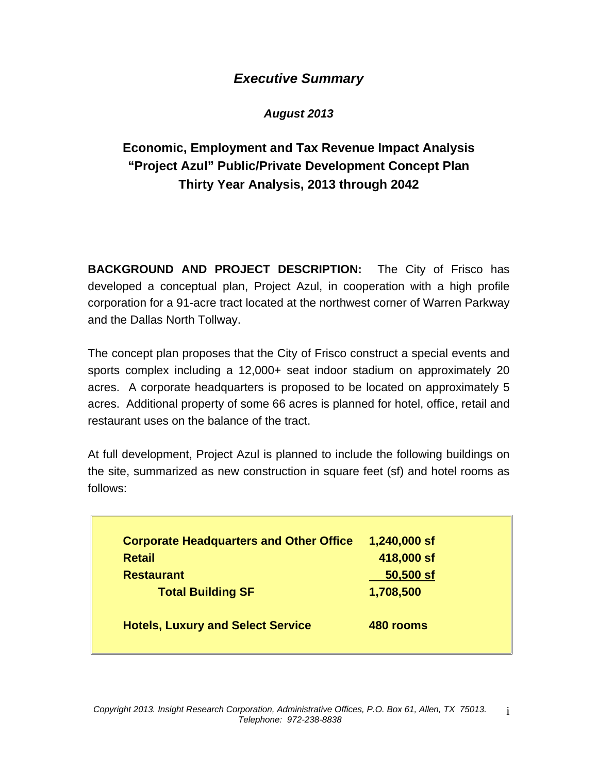## *Executive Summary*

## *August 2013*

## **Economic, Employment and Tax Revenue Impact Analysis "Project Azul" Public/Private Development Concept Plan Thirty Year Analysis, 2013 through 2042**

**BACKGROUND AND PROJECT DESCRIPTION:** The City of Frisco has developed a conceptual plan, Project Azul, in cooperation with a high profile corporation for a 91-acre tract located at the northwest corner of Warren Parkway and the Dallas North Tollway.

The concept plan proposes that the City of Frisco construct a special events and sports complex including a 12,000+ seat indoor stadium on approximately 20 acres. A corporate headquarters is proposed to be located on approximately 5 acres. Additional property of some 66 acres is planned for hotel, office, retail and restaurant uses on the balance of the tract.

At full development, Project Azul is planned to include the following buildings on the site, summarized as new construction in square feet (sf) and hotel rooms as follows:

| <b>Corporate Headquarters and Other Office</b> | 1,240,000 sf |
|------------------------------------------------|--------------|
| <b>Retail</b>                                  | 418,000 sf   |
| <b>Restaurant</b>                              | 50,500 sf    |
| <b>Total Building SF</b>                       | 1,708,500    |
| <b>Hotels, Luxury and Select Service</b>       | 480 rooms    |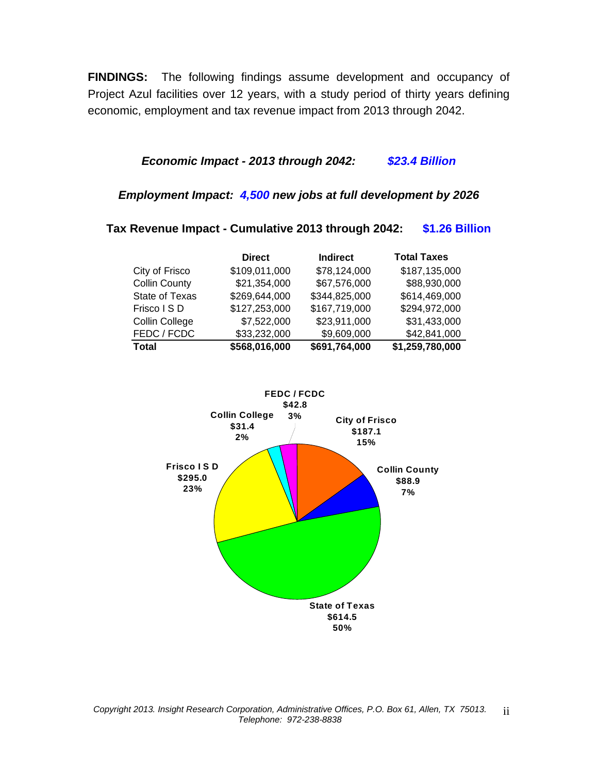**FINDINGS:** The following findings assume development and occupancy of Project Azul facilities over 12 years, with a study period of thirty years defining economic, employment and tax revenue impact from 2013 through 2042.

### *Economic Impact - 2013 through 2042: \$23.4 Billion*

#### *Employment Impact: 4,500 new jobs at full development by 2026*

### **Tax Revenue Impact - Cumulative 2013 through 2042: \$1.26 Billion Direct Indirect Total Taxes** City of Frisco \$109,011,000 \$78,124,000 \$187,135,000 Collin County \$21,354,000 \$67,576,000 \$88,930,000 State of Texas \$269,644,000 \$344,825,000 \$614,469,000 Frisco I S D \$127,253,000 \$167,719,000 \$294,972,000 Collin College \$7,522,000 \$23,911,000 \$31,433,000 FEDC / FCDC \$33,232,000 \$9,609,000 \$42,841,000

**Total \$568,016,000 \$691,764,000 \$1,259,780,000**

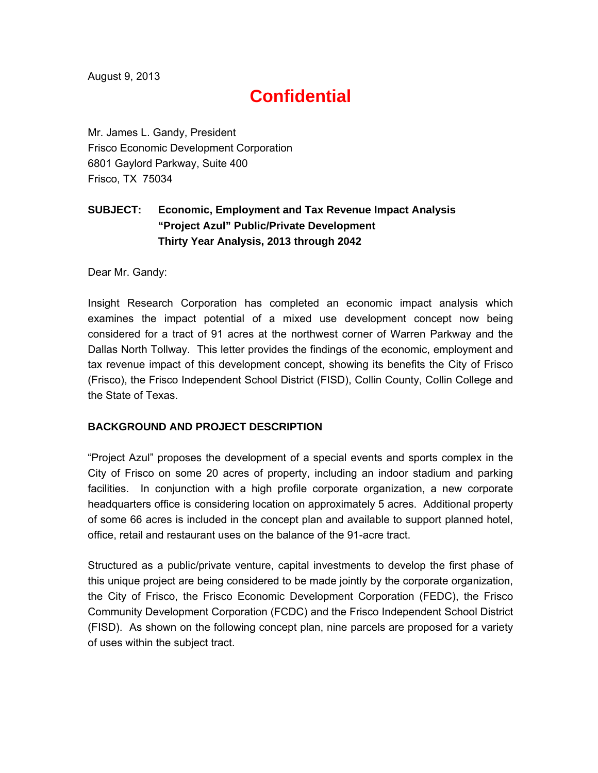August 9, 2013

# **Confidential**

Mr. James L. Gandy, President Frisco Economic Development Corporation 6801 Gaylord Parkway, Suite 400 Frisco, TX 75034

## **SUBJECT: Economic, Employment and Tax Revenue Impact Analysis "Project Azul" Public/Private Development Thirty Year Analysis, 2013 through 2042**

Dear Mr. Gandy:

Insight Research Corporation has completed an economic impact analysis which examines the impact potential of a mixed use development concept now being considered for a tract of 91 acres at the northwest corner of Warren Parkway and the Dallas North Tollway. This letter provides the findings of the economic, employment and tax revenue impact of this development concept, showing its benefits the City of Frisco (Frisco), the Frisco Independent School District (FISD), Collin County, Collin College and the State of Texas.

#### **BACKGROUND AND PROJECT DESCRIPTION**

"Project Azul" proposes the development of a special events and sports complex in the City of Frisco on some 20 acres of property, including an indoor stadium and parking facilities. In conjunction with a high profile corporate organization, a new corporate headquarters office is considering location on approximately 5 acres. Additional property of some 66 acres is included in the concept plan and available to support planned hotel, office, retail and restaurant uses on the balance of the 91-acre tract.

Structured as a public/private venture, capital investments to develop the first phase of this unique project are being considered to be made jointly by the corporate organization, the City of Frisco, the Frisco Economic Development Corporation (FEDC), the Frisco Community Development Corporation (FCDC) and the Frisco Independent School District (FISD). As shown on the following concept plan, nine parcels are proposed for a variety of uses within the subject tract.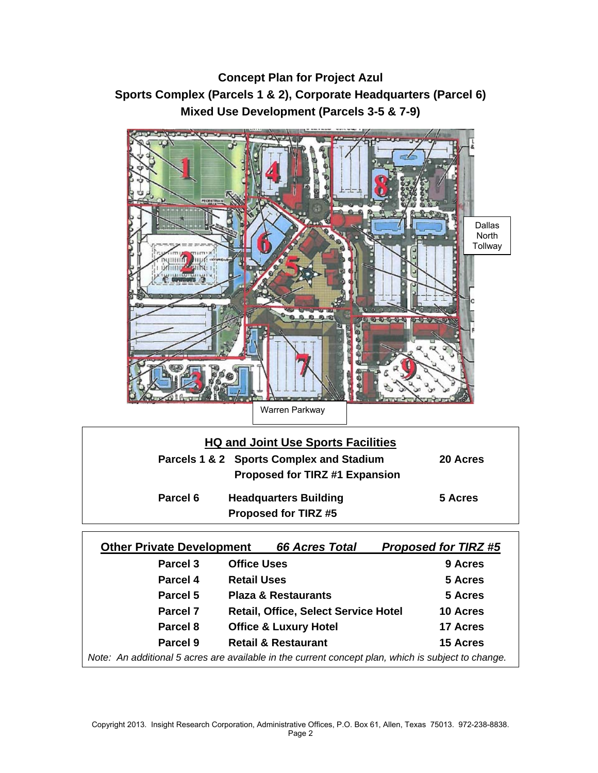## **Concept Plan for Project Azul Sports Complex (Parcels 1 & 2), Corporate Headquarters (Parcel 6) Mixed Use Development (Parcels 3-5 & 7-9)**



|          | <b>HQ and Joint Use Sports Facilities</b> |          |
|----------|-------------------------------------------|----------|
|          | Parcels 1 & 2 Sports Complex and Stadium  | 20 Acres |
|          | <b>Proposed for TIRZ #1 Expansion</b>     |          |
| Parcel 6 | <b>Headquarters Building</b>              | 5 Acres  |
|          | <b>Proposed for TIRZ#5</b>                |          |

| <b>Other Private Development</b>                                                                   | <b>66 Acres Total</b>                       | <b>Proposed for TIRZ#5</b> |  |  |  |  |  |
|----------------------------------------------------------------------------------------------------|---------------------------------------------|----------------------------|--|--|--|--|--|
| Parcel 3                                                                                           | <b>Office Uses</b>                          | 9 Acres                    |  |  |  |  |  |
| Parcel 4                                                                                           | <b>Retail Uses</b>                          | 5 Acres                    |  |  |  |  |  |
| <b>Parcel 5</b>                                                                                    | <b>Plaza &amp; Restaurants</b>              | 5 Acres                    |  |  |  |  |  |
| <b>Parcel 7</b>                                                                                    | <b>Retail, Office, Select Service Hotel</b> | 10 Acres                   |  |  |  |  |  |
| Parcel 8                                                                                           | <b>Office &amp; Luxury Hotel</b>            | 17 Acres                   |  |  |  |  |  |
| Parcel 9                                                                                           | <b>Retail &amp; Restaurant</b>              | <b>15 Acres</b>            |  |  |  |  |  |
| Note: An additional 5 acres are available in the current concept plan, which is subject to change. |                                             |                            |  |  |  |  |  |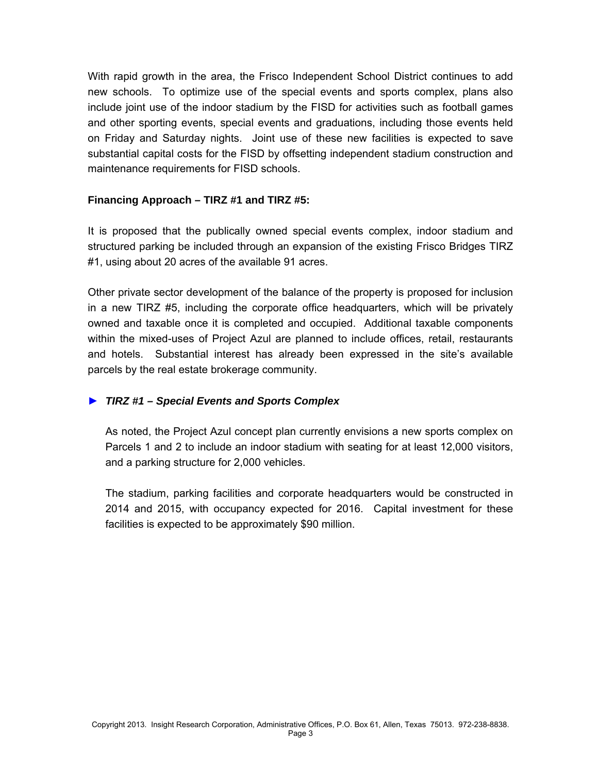With rapid growth in the area, the Frisco Independent School District continues to add new schools. To optimize use of the special events and sports complex, plans also include joint use of the indoor stadium by the FISD for activities such as football games and other sporting events, special events and graduations, including those events held on Friday and Saturday nights. Joint use of these new facilities is expected to save substantial capital costs for the FISD by offsetting independent stadium construction and maintenance requirements for FISD schools.

#### **Financing Approach – TIRZ #1 and TIRZ #5:**

It is proposed that the publically owned special events complex, indoor stadium and structured parking be included through an expansion of the existing Frisco Bridges TIRZ #1, using about 20 acres of the available 91 acres.

Other private sector development of the balance of the property is proposed for inclusion in a new TIRZ #5, including the corporate office headquarters, which will be privately owned and taxable once it is completed and occupied. Additional taxable components within the mixed-uses of Project Azul are planned to include offices, retail, restaurants and hotels. Substantial interest has already been expressed in the site's available parcels by the real estate brokerage community.

#### ► *TIRZ #1 – Special Events and Sports Complex*

As noted, the Project Azul concept plan currently envisions a new sports complex on Parcels 1 and 2 to include an indoor stadium with seating for at least 12,000 visitors, and a parking structure for 2,000 vehicles.

The stadium, parking facilities and corporate headquarters would be constructed in 2014 and 2015, with occupancy expected for 2016. Capital investment for these facilities is expected to be approximately \$90 million.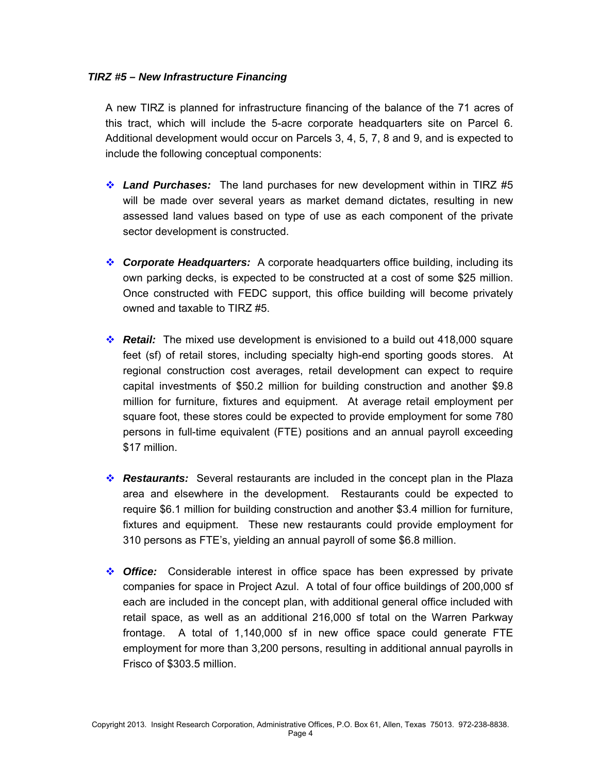#### *TIRZ #5 – New Infrastructure Financing*

A new TIRZ is planned for infrastructure financing of the balance of the 71 acres of this tract, which will include the 5-acre corporate headquarters site on Parcel 6. Additional development would occur on Parcels 3, 4, 5, 7, 8 and 9, and is expected to include the following conceptual components:

- *Land Purchases:* The land purchases for new development within in TIRZ #5 will be made over several years as market demand dictates, resulting in new assessed land values based on type of use as each component of the private sector development is constructed.
- *Corporate Headquarters:* A corporate headquarters office building, including its own parking decks, is expected to be constructed at a cost of some \$25 million. Once constructed with FEDC support, this office building will become privately owned and taxable to TIRZ #5.
- *Retail:* The mixed use development is envisioned to a build out 418,000 square feet (sf) of retail stores, including specialty high-end sporting goods stores. At regional construction cost averages, retail development can expect to require capital investments of \$50.2 million for building construction and another \$9.8 million for furniture, fixtures and equipment. At average retail employment per square foot, these stores could be expected to provide employment for some 780 persons in full-time equivalent (FTE) positions and an annual payroll exceeding \$17 million.
- **Restaurants:** Several restaurants are included in the concept plan in the Plaza area and elsewhere in the development. Restaurants could be expected to require \$6.1 million for building construction and another \$3.4 million for furniture, fixtures and equipment. These new restaurants could provide employment for 310 persons as FTE's, yielding an annual payroll of some \$6.8 million.
- *Office:* Considerable interest in office space has been expressed by private companies for space in Project Azul. A total of four office buildings of 200,000 sf each are included in the concept plan, with additional general office included with retail space, as well as an additional 216,000 sf total on the Warren Parkway frontage. A total of 1,140,000 sf in new office space could generate FTE employment for more than 3,200 persons, resulting in additional annual payrolls in Frisco of \$303.5 million.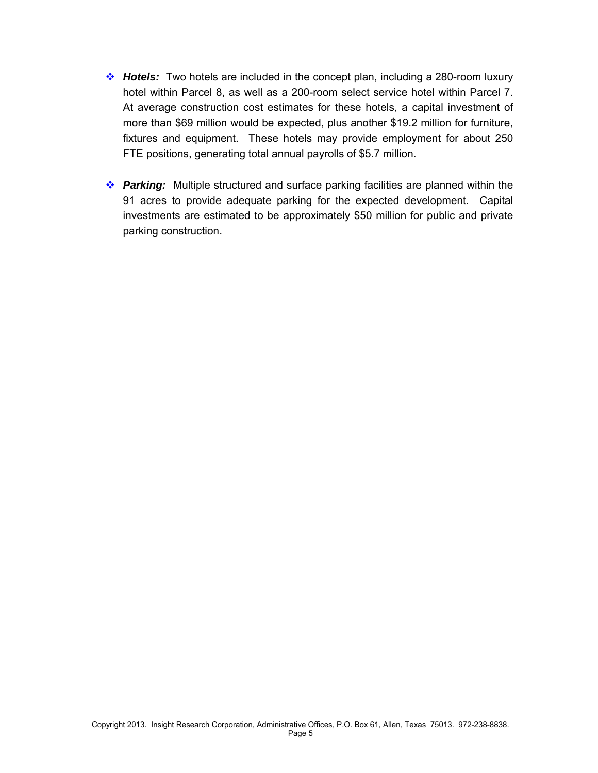- *Hotels:* Two hotels are included in the concept plan, including a 280-room luxury hotel within Parcel 8, as well as a 200-room select service hotel within Parcel 7. At average construction cost estimates for these hotels, a capital investment of more than \$69 million would be expected, plus another \$19.2 million for furniture, fixtures and equipment. These hotels may provide employment for about 250 FTE positions, generating total annual payrolls of \$5.7 million.
- *Parking:* Multiple structured and surface parking facilities are planned within the 91 acres to provide adequate parking for the expected development. Capital investments are estimated to be approximately \$50 million for public and private parking construction.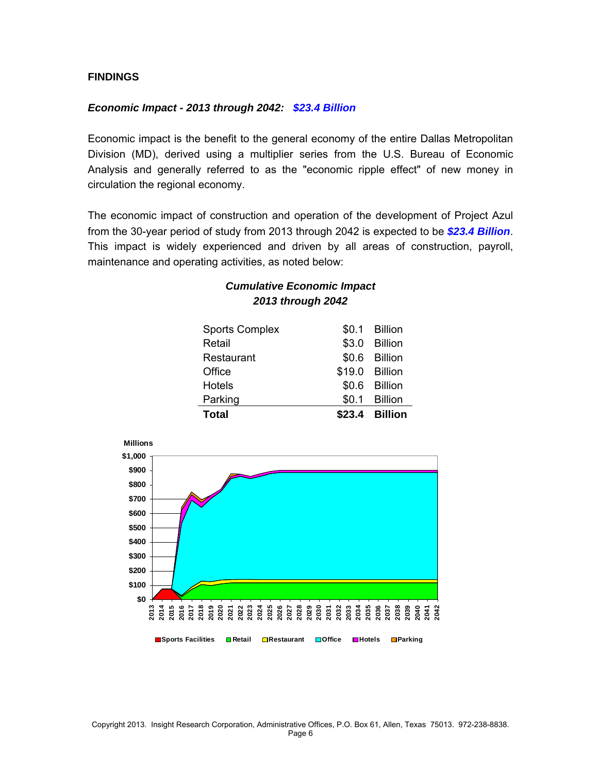#### **FINDINGS**

**\$0 \$100**

**2013 2014 2015**

#### *Economic Impact - 2013 through 2042: \$23.4 Billion*

Economic impact is the benefit to the general economy of the entire Dallas Metropolitan Division (MD), derived using a multiplier series from the U.S. Bureau of Economic Analysis and generally referred to as the "economic ripple effect" of new money in circulation the regional economy.

The economic impact of construction and operation of the development of Project Azul from the 30-year period of study from 2013 through 2042 is expected to be *\$23.4 Billion*. This impact is widely experienced and driven by all areas of construction, payroll, maintenance and operating activities, as noted below:

> *Cumulative Economic Impact 2013 through 2042*

| <b>Total</b>          | \$23.4 Billion |
|-----------------------|----------------|
| Parking               | \$0.1 Billion  |
| <b>Hotels</b>         | \$0.6 Billion  |
| Office                | \$19.0 Billion |
| Restaurant            | \$0.6 Billion  |
| Retail                | \$3.0 Billion  |
| <b>Sports Complex</b> | \$0.1 Billion  |
|                       |                |



**2016 2017 2018 2019 2020 2021 2022 2023 2024 2025 2026 2027 2028 2029 2030 2031 2032 2033 2034 2035 2036 2037 2038 2039 2040 2041 2042**

**Sports Facilities Retail Restaurant Office Hotels Parking**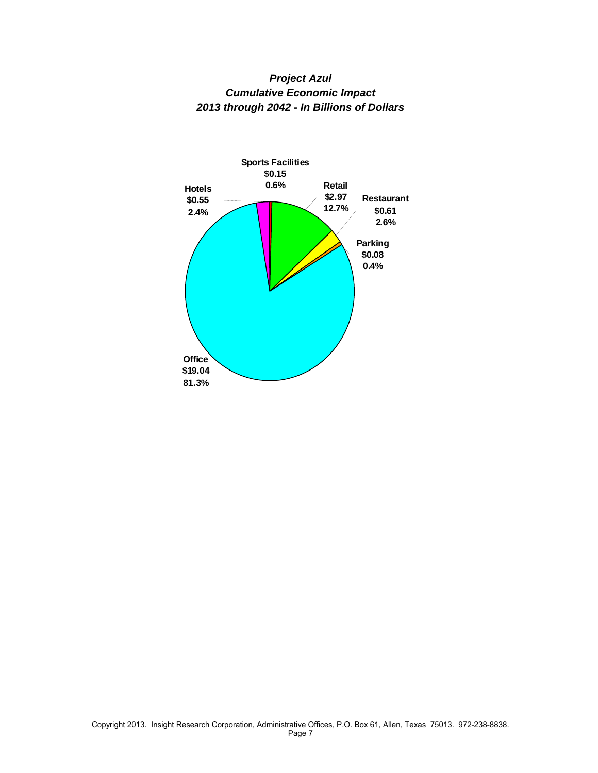

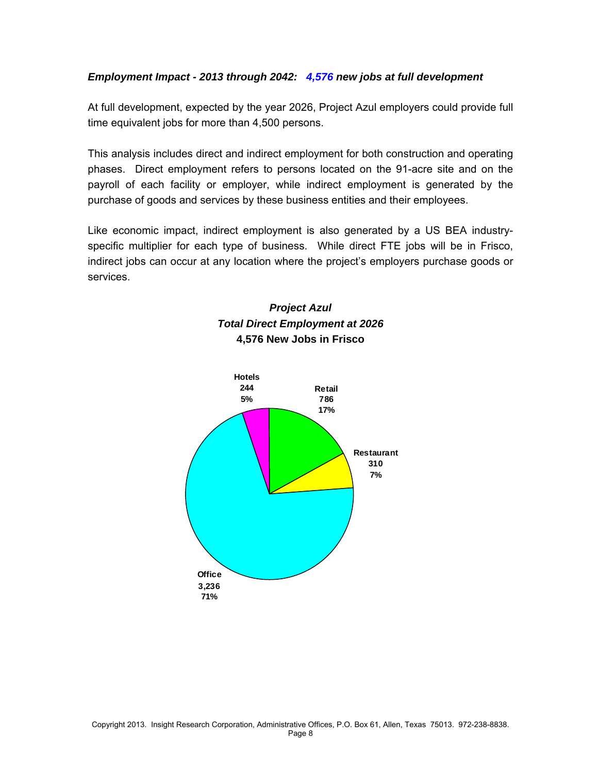#### *Employment Impact - 2013 through 2042: 4,576 new jobs at full development*

At full development, expected by the year 2026, Project Azul employers could provide full time equivalent jobs for more than 4,500 persons.

This analysis includes direct and indirect employment for both construction and operating phases. Direct employment refers to persons located on the 91-acre site and on the payroll of each facility or employer, while indirect employment is generated by the purchase of goods and services by these business entities and their employees.

Like economic impact, indirect employment is also generated by a US BEA industryspecific multiplier for each type of business. While direct FTE jobs will be in Frisco, indirect jobs can occur at any location where the project's employers purchase goods or services.

## *Project Azul Total Direct Employment at 2026*  **4,576 New Jobs in Frisco**

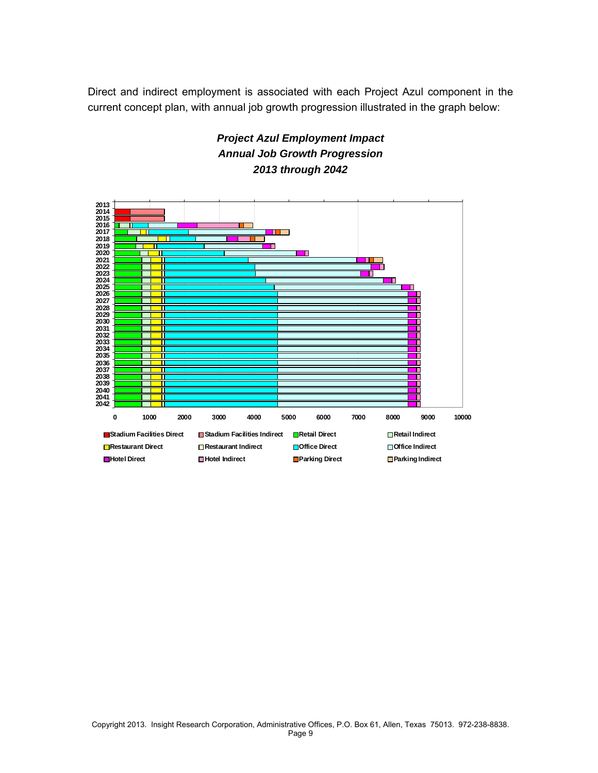Direct and indirect employment is associated with each Project Azul component in the current concept plan, with annual job growth progression illustrated in the graph below:



## *Project Azul Employment Impact Annual Job Growth Progression 2013 through 2042*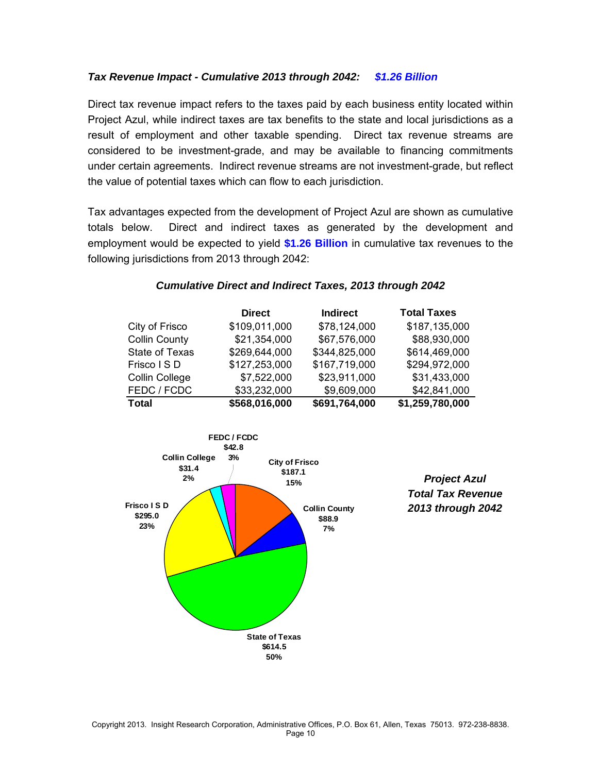#### *Tax Revenue Impact - Cumulative 2013 through 2042: \$1.26 Billion*

Direct tax revenue impact refers to the taxes paid by each business entity located within Project Azul, while indirect taxes are tax benefits to the state and local jurisdictions as a result of employment and other taxable spending. Direct tax revenue streams are considered to be investment-grade, and may be available to financing commitments under certain agreements. Indirect revenue streams are not investment-grade, but reflect the value of potential taxes which can flow to each jurisdiction.

Tax advantages expected from the development of Project Azul are shown as cumulative totals below. Direct and indirect taxes as generated by the development and employment would be expected to yield **\$1.26 Billion** in cumulative tax revenues to the following jurisdictions from 2013 through 2042:



#### *Cumulative Direct and Indirect Taxes, 2013 through 2042*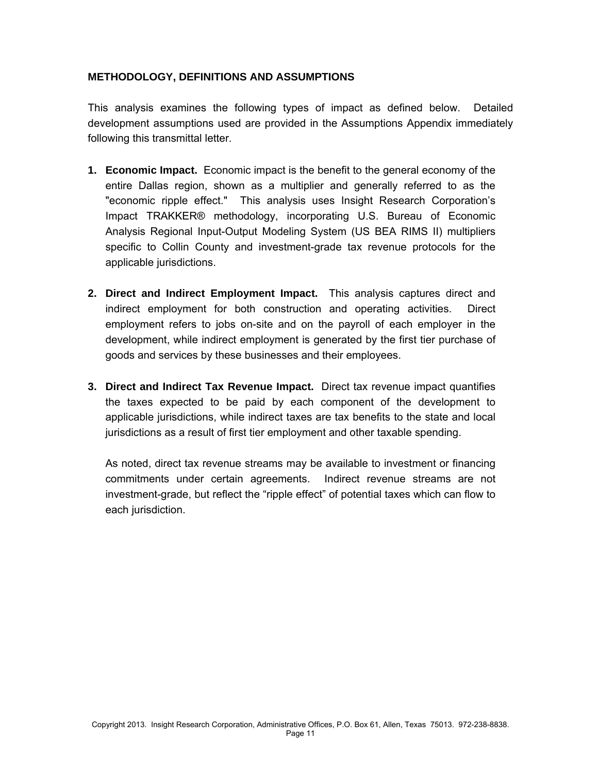#### **METHODOLOGY, DEFINITIONS AND ASSUMPTIONS**

This analysis examines the following types of impact as defined below. Detailed development assumptions used are provided in the Assumptions Appendix immediately following this transmittal letter.

- **1. Economic Impact.** Economic impact is the benefit to the general economy of the entire Dallas region, shown as a multiplier and generally referred to as the "economic ripple effect." This analysis uses Insight Research Corporation's Impact TRAKKER® methodology, incorporating U.S. Bureau of Economic Analysis Regional Input-Output Modeling System (US BEA RIMS II) multipliers specific to Collin County and investment-grade tax revenue protocols for the applicable jurisdictions.
- **2. Direct and Indirect Employment Impact.** This analysis captures direct and indirect employment for both construction and operating activities. Direct employment refers to jobs on-site and on the payroll of each employer in the development, while indirect employment is generated by the first tier purchase of goods and services by these businesses and their employees.
- **3. Direct and Indirect Tax Revenue Impact.** Direct tax revenue impact quantifies the taxes expected to be paid by each component of the development to applicable jurisdictions, while indirect taxes are tax benefits to the state and local jurisdictions as a result of first tier employment and other taxable spending.

As noted, direct tax revenue streams may be available to investment or financing commitments under certain agreements. Indirect revenue streams are not investment-grade, but reflect the "ripple effect" of potential taxes which can flow to each jurisdiction.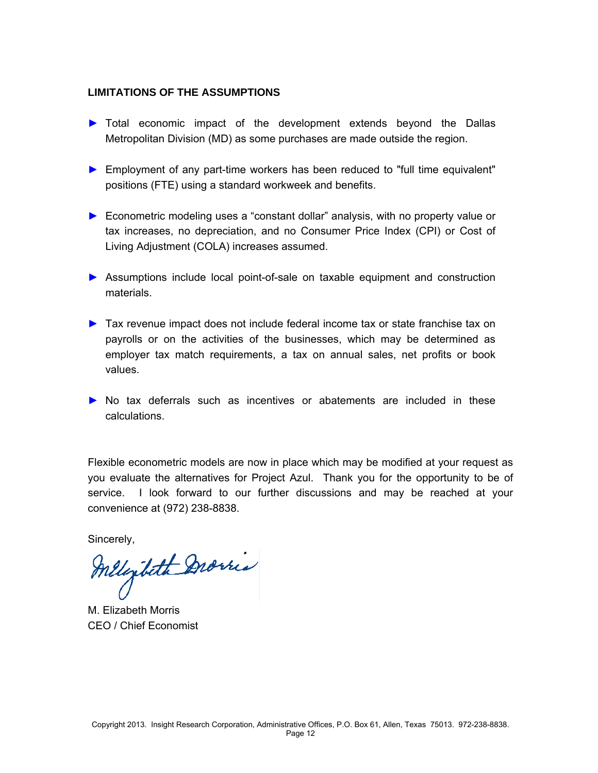#### **LIMITATIONS OF THE ASSUMPTIONS**

- ► Total economic impact of the development extends beyond the Dallas Metropolitan Division (MD) as some purchases are made outside the region.
- ► Employment of any part-time workers has been reduced to "full time equivalent" positions (FTE) using a standard workweek and benefits.
- ► Econometric modeling uses a "constant dollar" analysis, with no property value or tax increases, no depreciation, and no Consumer Price Index (CPI) or Cost of Living Adjustment (COLA) increases assumed.
- ► Assumptions include local point-of-sale on taxable equipment and construction materials.
- ► Tax revenue impact does not include federal income tax or state franchise tax on payrolls or on the activities of the businesses, which may be determined as employer tax match requirements, a tax on annual sales, net profits or book values.
- ► No tax deferrals such as incentives or abatements are included in these calculations.

Flexible econometric models are now in place which may be modified at your request as you evaluate the alternatives for Project Azul. Thank you for the opportunity to be of service. I look forward to our further discussions and may be reached at your convenience at (972) 238-8838.

Sincerely,

Melezibeth Dromes

M. Elizabeth Morris CEO / Chief Economist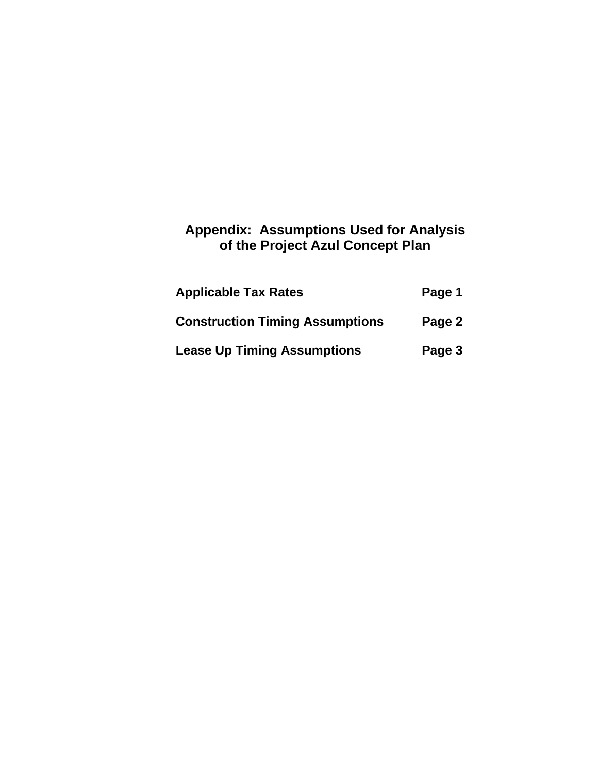## **Appendix: Assumptions Used for Analysis of the Project Azul Concept Plan**

| <b>Applicable Tax Rates</b>            | Page 1 |
|----------------------------------------|--------|
| <b>Construction Timing Assumptions</b> | Page 2 |
| <b>Lease Up Timing Assumptions</b>     | Page 3 |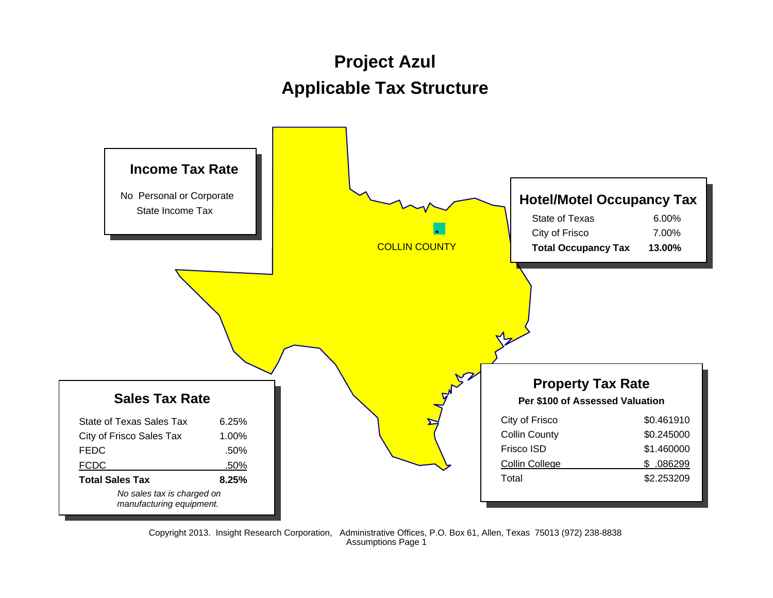# **Project Azul Applicable Tax Structure**

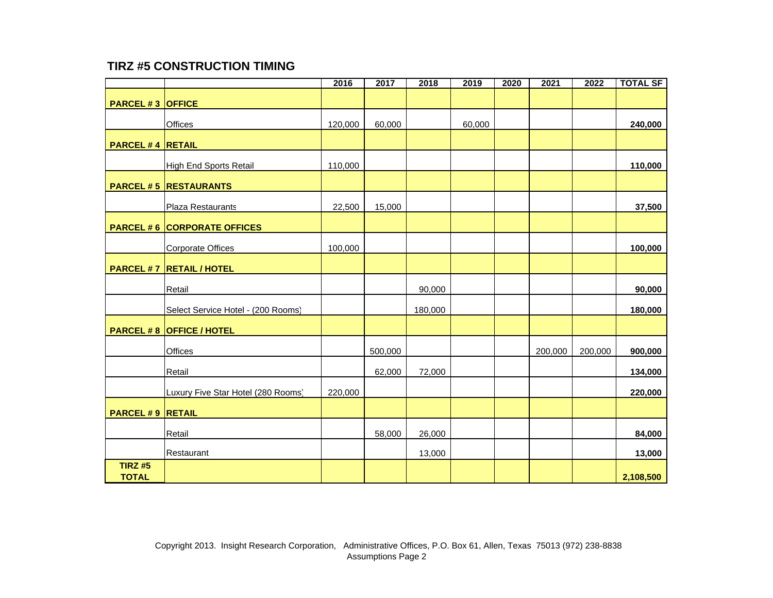### **TIRZ #5 CONSTRUCTION TIMING**

|                                |                                    | 2016    | 2017    | 2018    | 2019   | 2020 | 2021    | 2022    | <b>TOTAL SF</b> |
|--------------------------------|------------------------------------|---------|---------|---------|--------|------|---------|---------|-----------------|
| <b>PARCEL #3 OFFICE</b>        |                                    |         |         |         |        |      |         |         |                 |
|                                | <b>Offices</b>                     | 120,000 | 60,000  |         | 60,000 |      |         |         | 240,000         |
| <b>PARCEL #4 RETAIL</b>        |                                    |         |         |         |        |      |         |         |                 |
|                                | High End Sports Retail             | 110,000 |         |         |        |      |         |         | 110,000         |
|                                | <b>PARCEL #5 RESTAURANTS</b>       |         |         |         |        |      |         |         |                 |
|                                | Plaza Restaurants                  | 22,500  | 15,000  |         |        |      |         |         | 37,500          |
|                                | <b>PARCEL #6 CORPORATE OFFICES</b> |         |         |         |        |      |         |         |                 |
|                                | <b>Corporate Offices</b>           | 100,000 |         |         |        |      |         |         | 100,000         |
|                                | <b>PARCEL #7 RETAIL / HOTEL</b>    |         |         |         |        |      |         |         |                 |
|                                | Retail                             |         |         | 90,000  |        |      |         |         | 90,000          |
|                                | Select Service Hotel - (200 Rooms) |         |         | 180,000 |        |      |         |         | 180,000         |
|                                | <b>PARCEL #8 OFFICE / HOTEL</b>    |         |         |         |        |      |         |         |                 |
|                                | <b>Offices</b>                     |         | 500,000 |         |        |      | 200,000 | 200,000 | 900,000         |
|                                | Retail                             |         | 62,000  | 72,000  |        |      |         |         | 134,000         |
|                                | Luxury Five Star Hotel (280 Rooms) | 220,000 |         |         |        |      |         |         | 220,000         |
| <b>PARCEL #9 RETAIL</b>        |                                    |         |         |         |        |      |         |         |                 |
|                                | Retail                             |         | 58,000  | 26,000  |        |      |         |         | 84,000          |
|                                | Restaurant                         |         |         | 13,000  |        |      |         |         | 13,000          |
| <b>TIRZ #5</b><br><b>TOTAL</b> |                                    |         |         |         |        |      |         |         | 2,108,500       |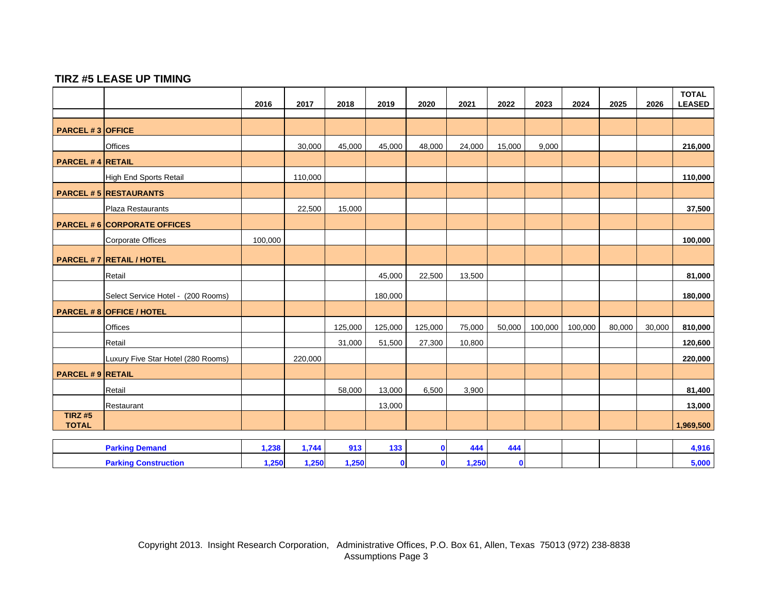#### **TIRZ #5 LEASE UP TIMING**

|                               |                                    | 2016    | 2017    | 2018    | 2019        | 2020         | 2021   | 2022         | 2023    | 2024    | 2025   | 2026   | <b>TOTAL</b><br><b>LEASED</b> |
|-------------------------------|------------------------------------|---------|---------|---------|-------------|--------------|--------|--------------|---------|---------|--------|--------|-------------------------------|
|                               |                                    |         |         |         |             |              |        |              |         |         |        |        |                               |
| <b>PARCEL #3 OFFICE</b>       |                                    |         |         |         |             |              |        |              |         |         |        |        |                               |
|                               | <b>Offices</b>                     |         | 30,000  | 45,000  | 45,000      | 48,000       | 24,000 | 15,000       | 9,000   |         |        |        | 216,000                       |
| <b>PARCEL #4 RETAIL</b>       |                                    |         |         |         |             |              |        |              |         |         |        |        |                               |
|                               | High End Sports Retail             |         | 110,000 |         |             |              |        |              |         |         |        |        | 110,000                       |
|                               | <b>PARCEL #5 RESTAURANTS</b>       |         |         |         |             |              |        |              |         |         |        |        |                               |
|                               | Plaza Restaurants                  |         | 22,500  | 15,000  |             |              |        |              |         |         |        |        | 37,500                        |
|                               | <b>PARCEL #6 CORPORATE OFFICES</b> |         |         |         |             |              |        |              |         |         |        |        |                               |
|                               | Corporate Offices                  | 100,000 |         |         |             |              |        |              |         |         |        |        | 100,000                       |
|                               | <b>PARCEL #7 RETAIL / HOTEL</b>    |         |         |         |             |              |        |              |         |         |        |        |                               |
|                               | Retail                             |         |         |         | 45,000      | 22,500       | 13,500 |              |         |         |        |        | 81,000                        |
|                               | Select Service Hotel - (200 Rooms) |         |         |         | 180,000     |              |        |              |         |         |        |        | 180,000                       |
|                               | <b>PARCEL #8 OFFICE / HOTEL</b>    |         |         |         |             |              |        |              |         |         |        |        |                               |
|                               | <b>Offices</b>                     |         |         | 125,000 | 125,000     | 125,000      | 75,000 | 50,000       | 100,000 | 100,000 | 80,000 | 30,000 | 810,000                       |
|                               | Retail                             |         |         | 31,000  | 51,500      | 27,300       | 10,800 |              |         |         |        |        | 120,600                       |
|                               | Luxury Five Star Hotel (280 Rooms) |         | 220,000 |         |             |              |        |              |         |         |        |        | 220,000                       |
| <b>PARCEL #9 RETAIL</b>       |                                    |         |         |         |             |              |        |              |         |         |        |        |                               |
|                               | Retail                             |         |         | 58,000  | 13,000      | 6,500        | 3,900  |              |         |         |        |        | 81,400                        |
|                               | Restaurant                         |         |         |         | 13,000      |              |        |              |         |         |        |        | 13,000                        |
| <b>TIRZ#5</b><br><b>TOTAL</b> |                                    |         |         |         |             |              |        |              |         |         |        |        | 1,969,500                     |
|                               |                                    |         |         |         |             |              |        |              |         |         |        |        |                               |
|                               | <b>Parking Demand</b>              | 1,238   | 1,744   | 913     | 133         | $\mathbf{0}$ | 444    | 444          |         |         |        |        | 4,916                         |
|                               | <b>Parking Construction</b>        | 1,250   | 1,250   | 1,250   | $\mathbf 0$ | $\bullet$    | 1,250  | $\mathbf{0}$ |         |         |        |        | 5,000                         |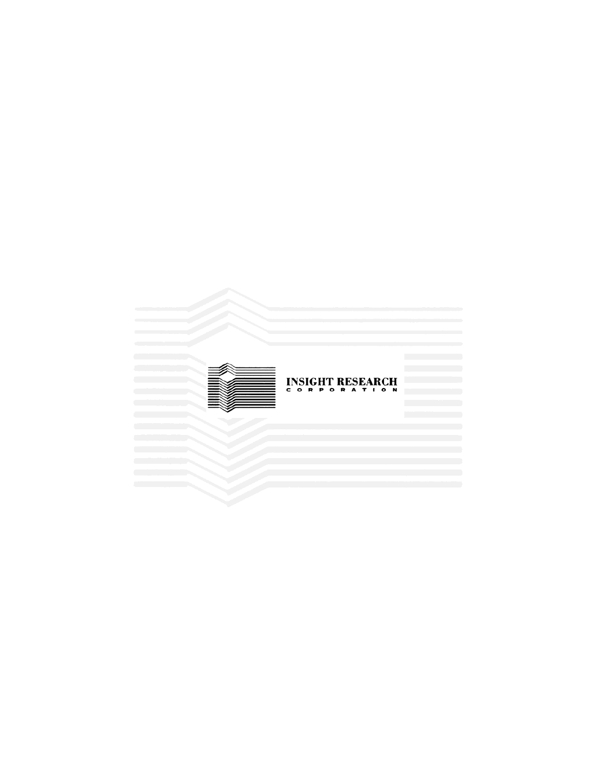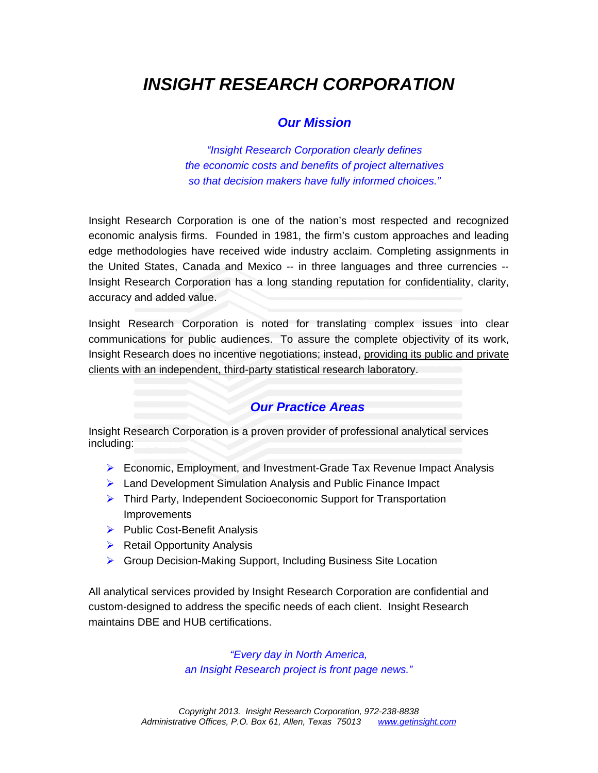# *INSIGHT RESEARCH CORPORATION*

## *Our Mission*

*"Insight Research Corporation clearly defines the economic costs and benefits of project alternatives so that decision makers have fully informed choices."* 

Insight Research Corporation is one of the nation's most respected and recognized economic analysis firms. Founded in 1981, the firm's custom approaches and leading edge methodologies have received wide industry acclaim. Completing assignments in the United States, Canada and Mexico -- in three languages and three currencies -- Insight Research Corporation has a long standing reputation for confidentiality, clarity, accuracy and added value.

Insight Research Corporation is noted for translating complex issues into clear communications for public audiences. To assure the complete objectivity of its work, Insight Research does no incentive negotiations; instead, providing its public and private clients with an independent, third-party statistical research laboratory.

### *Our Practice Areas*

Insight Research Corporation is a proven provider of professional analytical services including:

- ¾ Economic, Employment, and Investment-Grade Tax Revenue Impact Analysis
- ¾ Land Development Simulation Analysis and Public Finance Impact
- ¾ Third Party, Independent Socioeconomic Support for Transportation Improvements
- $\triangleright$  Public Cost-Benefit Analysis
- $\triangleright$  Retail Opportunity Analysis
- ▶ Group Decision-Making Support, Including Business Site Location

All analytical services provided by Insight Research Corporation are confidential and custom-designed to address the specific needs of each client. Insight Research maintains DBE and HUB certifications.

> *"Every day in North America, an Insight Research project is front page news."*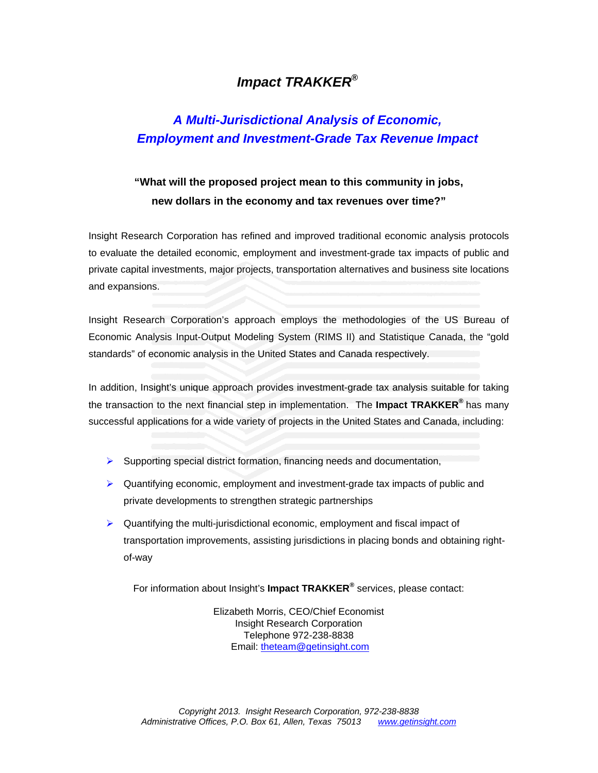## *Impact TRAKKER***®**

## *A Multi-Jurisdictional Analysis of Economic, Employment and Investment-Grade Tax Revenue Impact*

## **"What will the proposed project mean to this community in jobs, new dollars in the economy and tax revenues over time?"**

Insight Research Corporation has refined and improved traditional economic analysis protocols to evaluate the detailed economic, employment and investment-grade tax impacts of public and private capital investments, major projects, transportation alternatives and business site locations and expansions.

Insight Research Corporation's approach employs the methodologies of the US Bureau of Economic Analysis Input-Output Modeling System (RIMS II) and Statistique Canada, the "gold standards" of economic analysis in the United States and Canada respectively.

In addition, Insight's unique approach provides investment-grade tax analysis suitable for taking the transaction to the next financial step in implementation. The **Impact TRAKKER®** has many successful applications for a wide variety of projects in the United States and Canada, including:

- ¾ Supporting special district formation, financing needs and documentation,
- $\triangleright$  Quantifying economic, employment and investment-grade tax impacts of public and private developments to strengthen strategic partnerships
- $\blacktriangleright$  Quantifying the multi-jurisdictional economic, employment and fiscal impact of transportation improvements, assisting jurisdictions in placing bonds and obtaining rightof-way

For information about Insight's **Impact TRAKKER®** services, please contact:

Elizabeth Morris, CEO/Chief Economist Insight Research Corporation Telephone 972-238-8838 Email: [theteam@getinsight.com](mailto:theteam@getinsight.com)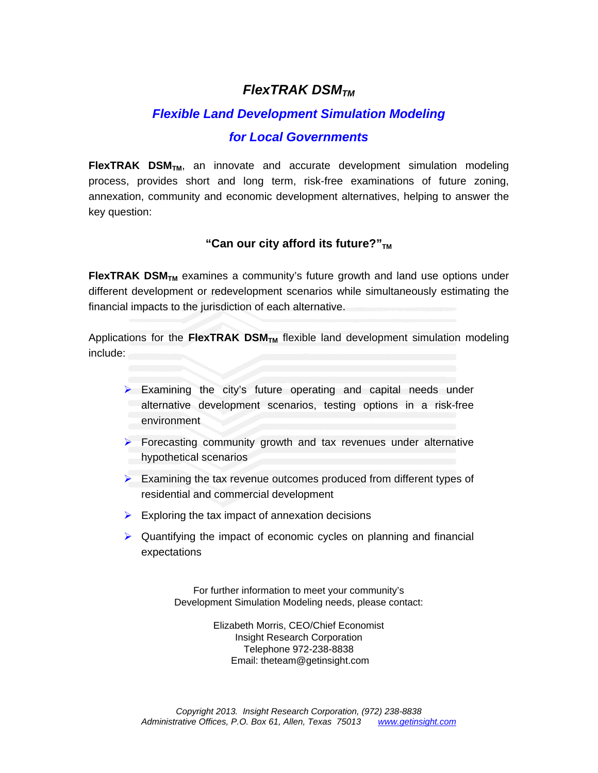## *FlexTRAK DSMTM*

## *Flexible Land Development Simulation Modeling*

## *for Local Governments*

**FlexTRAK DSM<sub>TM</sub>**, an innovate and accurate development simulation modeling process, provides short and long term, risk-free examinations of future zoning, annexation, community and economic development alternatives, helping to answer the key question:

### "Can our city afford its future?"<sub>TM</sub>

**FlexTRAK DSM<sub>TM</sub>** examines a community's future growth and land use options under different development or redevelopment scenarios while simultaneously estimating the financial impacts to the jurisdiction of each alternative.

Applications for the FlexTRAK DSM<sub>TM</sub> flexible land development simulation modeling include:

- $\triangleright$  Examining the city's future operating and capital needs under alternative development scenarios, testing options in a risk-free environment
- $\triangleright$  Forecasting community growth and tax revenues under alternative hypothetical scenarios
- $\triangleright$  Examining the tax revenue outcomes produced from different types of residential and commercial development
- $\triangleright$  Exploring the tax impact of annexation decisions
- $\triangleright$  Quantifying the impact of economic cycles on planning and financial expectations

For further information to meet your community's Development Simulation Modeling needs, please contact:

> Elizabeth Morris, CEO/Chief Economist Insight Research Corporation Telephone 972-238-8838 Email: theteam@getinsight.com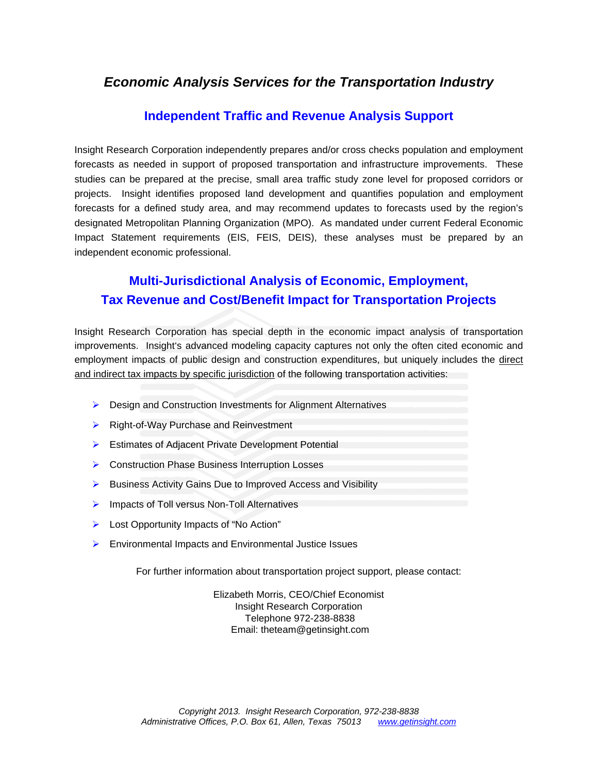## *Economic Analysis Services for the Transportation Industry*

## **Independent Traffic and Revenue Analysis Support**

Insight Research Corporation independently prepares and/or cross checks population and employment forecasts as needed in support of proposed transportation and infrastructure improvements. These studies can be prepared at the precise, small area traffic study zone level for proposed corridors or projects. Insight identifies proposed land development and quantifies population and employment forecasts for a defined study area, and may recommend updates to forecasts used by the region's designated Metropolitan Planning Organization (MPO). As mandated under current Federal Economic Impact Statement requirements (EIS, FEIS, DEIS), these analyses must be prepared by an independent economic professional.

## **Multi-Jurisdictional Analysis of Economic, Employment, Tax Revenue and Cost/Benefit Impact for Transportation Projects**

Insight Research Corporation has special depth in the economic impact analysis of transportation improvements. Insight's advanced modeling capacity captures not only the often cited economic and employment impacts of public design and construction expenditures, but uniquely includes the direct and indirect tax impacts by specific jurisdiction of the following transportation activities:

- ▶ Design and Construction Investments for Alignment Alternatives
- ▶ Right-of-Way Purchase and Reinvestment
- ¾ Estimates of Adjacent Private Development Potential
- ▶ Construction Phase Business Interruption Losses
- ¾ Business Activity Gains Due to Improved Access and Visibility
- $\triangleright$  Impacts of Toll versus Non-Toll Alternatives
- ¾ Lost Opportunity Impacts of "No Action"
- $\triangleright$  Environmental Impacts and Environmental Justice Issues

For further information about transportation project support, please contact:

Elizabeth Morris, CEO/Chief Economist Insight Research Corporation Telephone 972-238-8838 Email: theteam@getinsight.com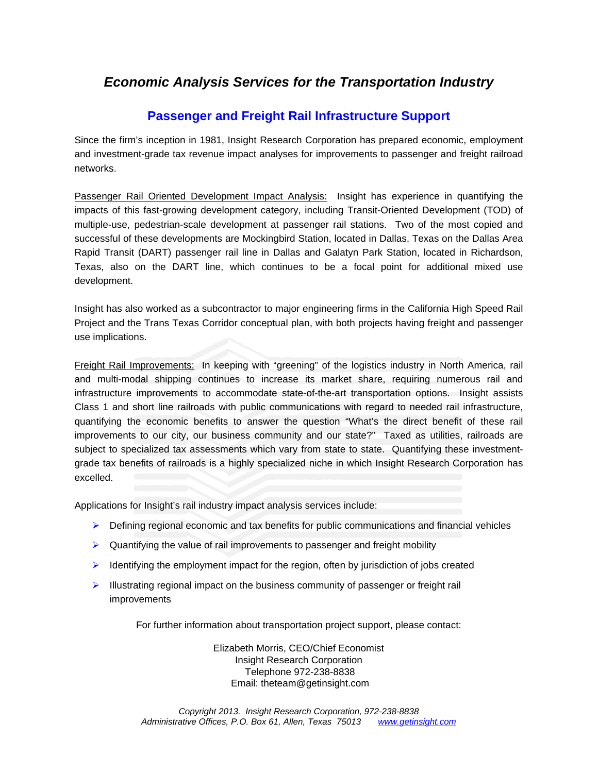## *Economic Analysis Services for the Transportation Industry*

## **Passenger and Freight Rail Infrastructure Support**

Since the firm's inception in 1981, Insight Research Corporation has prepared economic, employment and investment-grade tax revenue impact analyses for improvements to passenger and freight railroad networks.

Passenger Rail Oriented Development Impact Analysis: Insight has experience in quantifying the impacts of this fast-growing development category, including Transit-Oriented Development (TOD) of multiple-use, pedestrian-scale development at passenger rail stations. Two of the most copied and successful of these developments are Mockingbird Station, located in Dallas, Texas on the Dallas Area Rapid Transit (DART) passenger rail line in Dallas and Galatyn Park Station, located in Richardson, Texas, also on the DART line, which continues to be a focal point for additional mixed use development.

Insight has also worked as a subcontractor to major engineering firms in the California High Speed Rail Project and the Trans Texas Corridor conceptual plan, with both projects having freight and passenger use implications.

Freight Rail Improvements: In keeping with "greening" of the logistics industry in North America, rail and multi-modal shipping continues to increase its market share, requiring numerous rail and infrastructure improvements to accommodate state-of-the-art transportation options. Insight assists Class 1 and short line railroads with public communications with regard to needed rail infrastructure, quantifying the economic benefits to answer the question "What's the direct benefit of these rail improvements to our city, our business community and our state?" Taxed as utilities, railroads are subject to specialized tax assessments which vary from state to state. Quantifying these investmentgrade tax benefits of railroads is a highly specialized niche in which Insight Research Corporation has excelled.

Applications for Insight's rail industry impact analysis services include:

- $\triangleright$  Defining regional economic and tax benefits for public communications and financial vehicles
- $\triangleright$  Quantifying the value of rail improvements to passenger and freight mobility
- $\blacktriangleright$  Identifying the employment impact for the region, often by jurisdiction of jobs created
- $\blacktriangleright$  Illustrating regional impact on the business community of passenger or freight rail improvements

For further information about transportation project support, please contact:

Elizabeth Morris, CEO/Chief Economist Insight Research Corporation Telephone 972-238-8838 Email: theteam@getinsight.com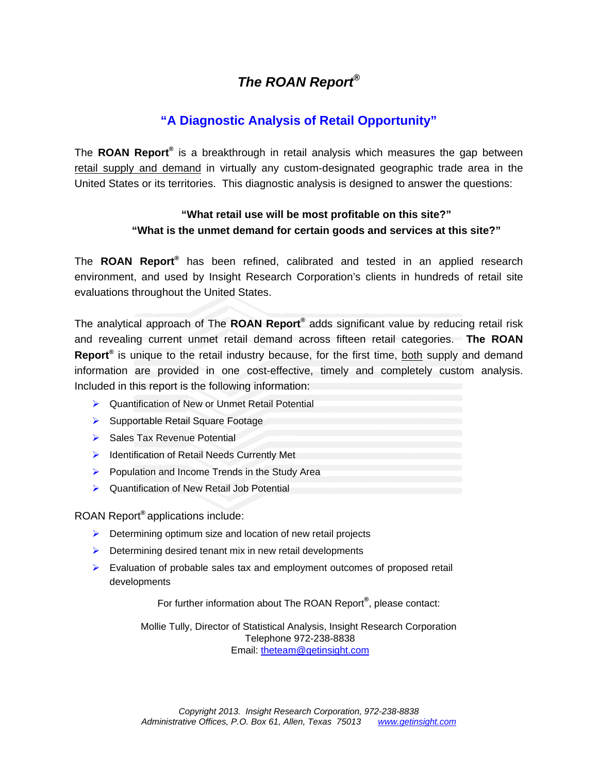## *The ROAN Report***®**

## **"A Diagnostic Analysis of Retail Opportunity"**

The **ROAN Report®** is a breakthrough in retail analysis which measures the gap between retail supply and demand in virtually any custom-designated geographic trade area in the United States or its territories. This diagnostic analysis is designed to answer the questions:

### **"What retail use will be most profitable on this site?" "What is the unmet demand for certain goods and services at this site?"**

The **ROAN Report®** has been refined, calibrated and tested in an applied research environment, and used by Insight Research Corporation's clients in hundreds of retail site evaluations throughout the United States.

The analytical approach of The **ROAN Report®** adds significant value by reducing retail risk and revealing current unmet retail demand across fifteen retail categories. **The ROAN Report®** is unique to the retail industry because, for the first time, both supply and demand information are provided in one cost-effective, timely and completely custom analysis. Included in this report is the following information:

- ¾ Quantification of New or Unmet Retail Potential
- ▶ Supportable Retail Square Footage
- ▶ Sales Tax Revenue Potential
- **▶ Identification of Retail Needs Currently Met**
- $\triangleright$  Population and Income Trends in the Study Area
- ¾ Quantification of New Retail Job Potential

ROAN Report**®** applications include:

- $\triangleright$  Determining optimum size and location of new retail projects
- $\triangleright$  Determining desired tenant mix in new retail developments
- $\triangleright$  Evaluation of probable sales tax and employment outcomes of proposed retail developments

For further information about The ROAN Report**®** , please contact:

Mollie Tully, Director of Statistical Analysis, Insight Research Corporation Telephone 972-238-8838 Email: [theteam@getinsight.com](mailto:theteam@getinsight.com)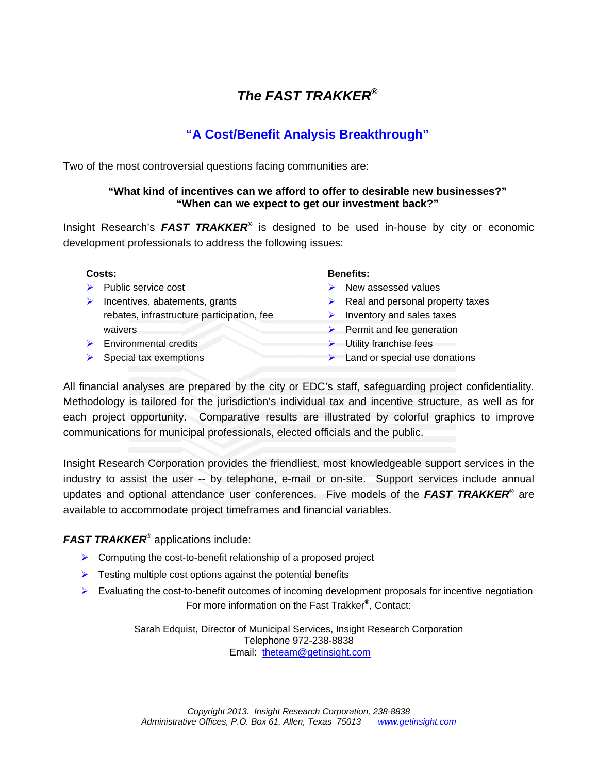## *The FAST TRAKKER***®**

## **"A Cost/Benefit Analysis Breakthrough"**

Two of the most controversial questions facing communities are:

#### **"What kind of incentives can we afford to offer to desirable new businesses?" "When can we expect to get our investment back?"**

Insight Research's *FAST TRAKKER***®** is designed to be used in-house by city or economic development professionals to address the following issues:

- 
- $\triangleright$  Incentives, abatements, grants rebates, infrastructure participation, fee waivers
- ▶ Environmental credits → Utility franchise fees
- 

#### **Costs: Benefits:**

- **Example 3** Public service cost  $\triangleright$  New assessed values
	- $\triangleright$  Real and personal property taxes
	- $\triangleright$  Inventory and sales taxes
	- $\blacktriangleright$  Permit and fee generation
	-
- $\triangleright$  Special tax exemptions  $\triangleright$  Land or special use donations

All financial analyses are prepared by the city or EDC's staff, safeguarding project confidentiality. Methodology is tailored for the jurisdiction's individual tax and incentive structure, as well as for each project opportunity. Comparative results are illustrated by colorful graphics to improve communications for municipal professionals, elected officials and the public.

Insight Research Corporation provides the friendliest, most knowledgeable support services in the industry to assist the user -- by telephone, e-mail or on-site. Support services include annual updates and optional attendance user conferences. Five models of the *FAST TRAKKER***®** are available to accommodate project timeframes and financial variables.

#### *FAST TRAKKER***®** applications include:

- $\triangleright$  Computing the cost-to-benefit relationship of a proposed project
- $\triangleright$  Testing multiple cost options against the potential benefits
- ¾ Evaluating the cost-to-benefit outcomes of incoming development proposals for incentive negotiation For more information on the Fast Trakker**®** , Contact:

Sarah Edquist, Director of Municipal Services, Insight Research Corporation Telephone 972-238-8838 Email: theteam@getinsight.com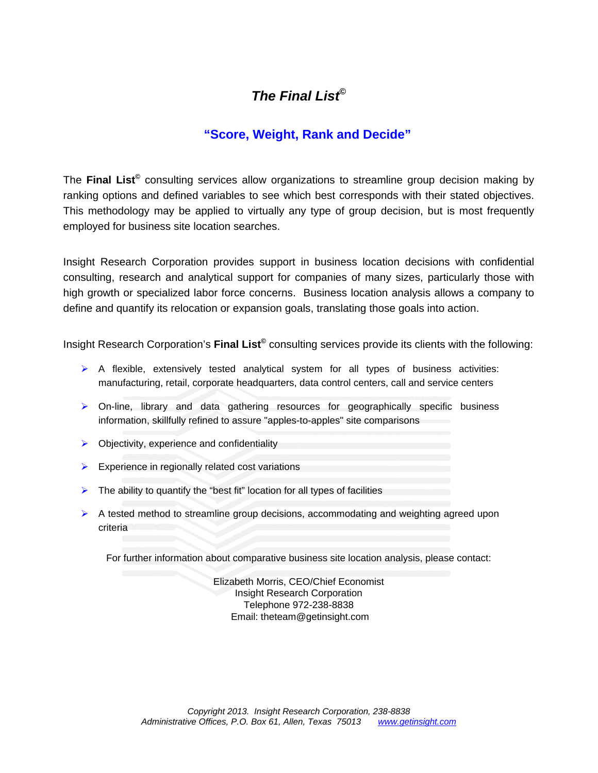## *The Final List***©**

## **"Score, Weight, Rank and Decide"**

The **Final List©** consulting services allow organizations to streamline group decision making by ranking options and defined variables to see which best corresponds with their stated objectives. This methodology may be applied to virtually any type of group decision, but is most frequently employed for business site location searches.

Insight Research Corporation provides support in business location decisions with confidential consulting, research and analytical support for companies of many sizes, particularly those with high growth or specialized labor force concerns. Business location analysis allows a company to define and quantify its relocation or expansion goals, translating those goals into action.

Insight Research Corporation's **Final List©** consulting services provide its clients with the following:

- $\triangleright$  A flexible, extensively tested analytical system for all types of business activities: manufacturing, retail, corporate headquarters, data control centers, call and service centers
- $\triangleright$  On-line, library and data gathering resources for geographically specific business information, skillfully refined to assure "apples-to-apples" site comparisons
- $\triangleright$  Objectivity, experience and confidentiality
- $\triangleright$  Experience in regionally related cost variations
- $\triangleright$  The ability to quantify the "best fit" location for all types of facilities
- $\triangleright$  A tested method to streamline group decisions, accommodating and weighting agreed upon criteria

For further information about comparative business site location analysis, please contact:

Elizabeth Morris, CEO/Chief Economist Insight Research Corporation Telephone 972-238-8838 Email: theteam@getinsight.com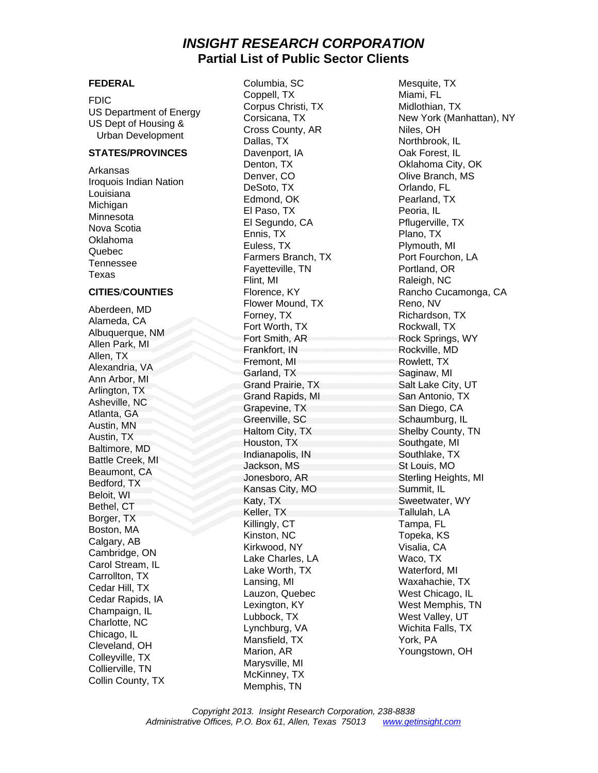## *INSIGHT RESEARCH CORPORATION* **Partial List of Public Sector Clients**

#### **STATES/PROVINCES** Davenport, IA Daventy Daventy Daventy Dak Forest, IL

Aberdeen, MD<br>
Albuquerque, NM Formey, TX<br>
Albuquerque, NM Formey, TX<br>
Albuquerque, NM Formey, TX<br>
Albuquerque, NM Formey, TX<br>
Albuquerque, NM Formey, TX<br>
Alexandria, VA Formey, TX<br>
Alexandria, VA Formey, TX<br>
Alexandria, VA

**FEDERAL Columbia, SC** Mesquite, TX

FDIC Coppell, TX Miami, FL<br>
US Department of Energy Corpus Christi, TX Midlothian, TX<br>
US Dept of Housing & Corsicana, TX New York (Manhattan), NY<br>
Urban Development Dallas, TX Northbrook, IL<br>
Dallas, TX Northbrook, IL Arkansas<br>
Iroquois Indian Nation<br>
Louisiana<br>
Louisiana<br>
Michigan<br>
Minnesota<br>
Minnesota<br>
Minnesota<br>
Minnesota<br>
El Paso, TX<br>
El Paso, TX<br>
El Paso, TX<br>
El Segundo, CA<br>
El Segundo, CA<br>
Peoria, IL<br>
Peoria, IL<br>
Peoria, IL<br>
Peori **CITIES/COUNTIES** Florence, KY Rancho Cucamonga, CA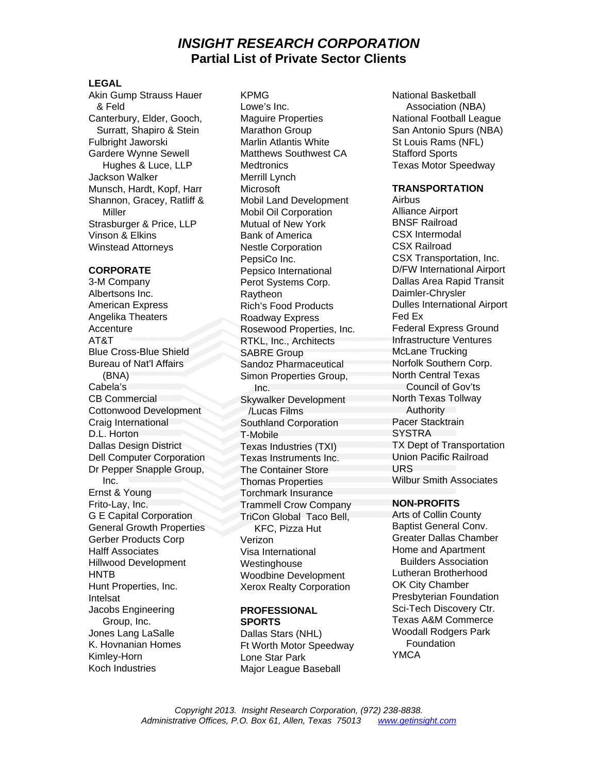## *INSIGHT RESEARCH CORPORATION* **Partial List of Private Sector Clients**

#### **LEGAL**

Akin Gump Strauss Hauer KPMG & Feld Lowe's Inc. Canterbury, Elder, Gooch, Maguire Properties National Football League Fulbright JaworskiMarlin Atlantis White St Louis Rams (NFL) Gardere Wynne Sewell Matthews Southwest CA Stafford Sports Jackson Walker Merrill Lynch Munsch, Hardt, Kopf, Harr Microsoft **TRANSPORTATION**  Shannon, Gracey, Ratliff & Mobil Land Development Airbus<br>Miller Mobil Oil Corporation Alliance Airport Strasburger & Price, LLP Mutual of New York Vinson & Elkins **Bank of America** CSX Intermodal CSX Intermodal<br>
Winstead Attorneys **Bank of America** CSX Railroad Winstead Attorneys Nestle Corporation

Albertsons Inc. **Raytheon** Raytheon Daimler-Chrysler American Express **Rich's Food Products** Dulles International Airport<br>
Angelika Theaters **Roadway Express** Fed Ex Angelika Theaters **Roadway Express** Fed Example 20 Fed Example 20 Fed Example 20 Federal Express Ground Accenture Accenture **Rosewood Properties, Inc.** Federal Express Ground AT&T<br>AT&T RTKI Inc. Architects **Infrastructure Ventures** AT&T <br>Blue Cross-Blue Shield **RTKL, Inc., Architects** Infrastructure Venture<br>
SABRE Group<br>
McLane Trucking Blue Cross-Blue Shield SABRE Group Bureau of Nat'l Affairs **Sandoz Pharmaceutical** Norfolk Southern Corp. (BNA) Cabela's Inc. CB Commercial Skywalker Development Cottonwood Development /Lucas Films Craig International Southland Corporation Pacer Stacktrain<br>
D Horton T-Mobile Pacer SYSTRA D.L. Horton T-Mobile Dallas Design District Texas Industries (TXI) TX Dept of Transportation<br>
Dell Computer Corporation Texas Instruments Inc Union Pacific Railroad Dell Computer Corporation Texas Instruments Inc. Computer Corporation Texas Instruments Inc. Computer Computer<br>
Discreen Pacific Railroad The Container Store CIRS Dr Pepper Snapple Group, Inc. Ernst & Young Torchmark Insurance Frito-Lay, Inc. **Trammell Crow Company NON-PROFITS**<br>
G E Capital Corporation **Tricon Global Taco Bell** Arts of Collin County G E Capital Corporation TriCon Global Taco Bell, Arts of Collin County<br>General Growth Properties KFC Pizza Hut Baptist General Conv. General Growth Properties KFC, Pizza Hut Baptist General Conv.<br>Gerber Products Corp. Merizon Verizon (Greater Dallas Chamber) Gerber Products Corp Verizon Halff Associates **Visa International** Home and Apartment<br>Hillwood Development Mestinghouse **Builders** Association Hillwood Development Westinghouse Builders Association<br>HNTB Builders Association<br>Moodbine Development Lutheran Brotherhood HNTB Woodbine Development Lutheran Brotherhood Hunt Properties, Inc. Xerox Realty Corporation **Intelsat Intelsat** *Presbyterian Foundation* Jacobs Engineering **PROFESSIONAL** Sci-Tech Discovery Ctr. Group, Inc. Jones Lang LaSalle Dallas Stars (NHL) K. Hovnanian Homes Ft Worth Motor Speedway Kimley-Horn Lone Star Park Theory MCA Koch Industries Major League Baseball

Surratt, Shapiro & Stein Marathon Group San Antonio Spurs (NBA) Hughes & Luce, LLP Medtronics Texas Motor Speedway Miller Mobil Oil Corporation Alliance Airport<br>Alliance Airport Mutual of New York BNSF Railroad PepsiCo Inc. CSX Transportation, Inc. **CORPORATE** Pepsico International D/FW International Airport 3-M Company **Perot Systems Corp.** Dallas Area Rapid Transit Simon Properties Group, The Container Store Thomas Properties Wilbur Smith Associates

# **PROFESSIONAL**

National Basketball Association (NBA)

North Central Texas Council of Gov'ts North Texas Tollway Authority

**SPORTS** Texas A&M Commerce Woodall Rodgers Park **Foundation**